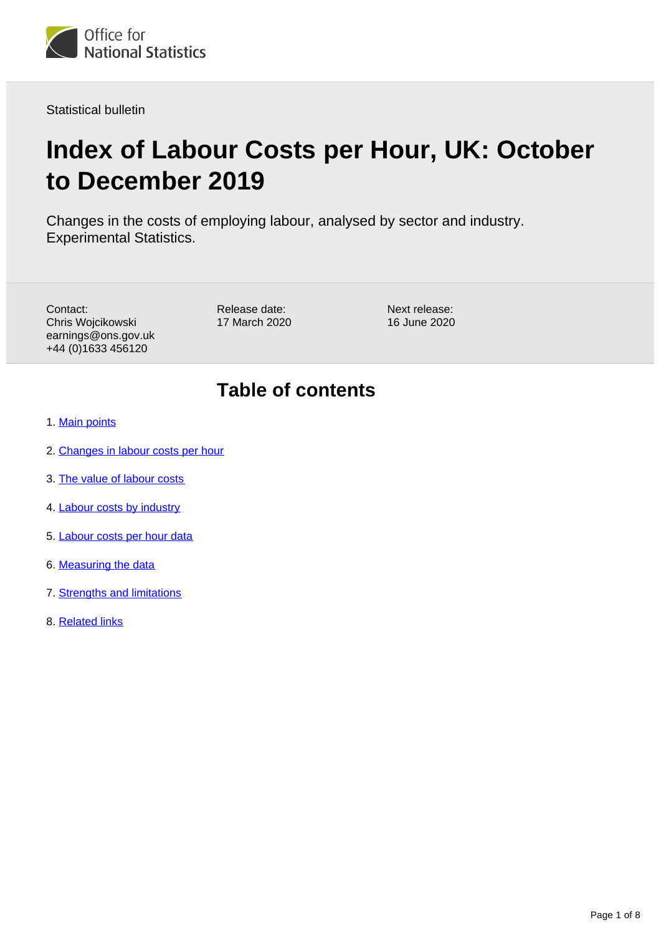

Statistical bulletin

# **Index of Labour Costs per Hour, UK: October to December 2019**

Changes in the costs of employing labour, analysed by sector and industry. Experimental Statistics.

Contact: Chris Wojcikowski earnings@ons.gov.uk +44 (0)1633 456120

Release date: 17 March 2020 Next release: 16 June 2020

# **Table of contents**

- 1. [Main points](#page-1-0)
- 2. [Changes in labour costs per hour](#page-1-1)
- 3. [The value of labour costs](#page-4-0)
- 4. [Labour costs by industry](#page-5-0)
- 5. [Labour costs per hour data](#page-6-0)
- 6. [Measuring the data](#page-6-1)
- 7. [Strengths and limitations](#page-7-0)
- 8. [Related links](#page-7-1)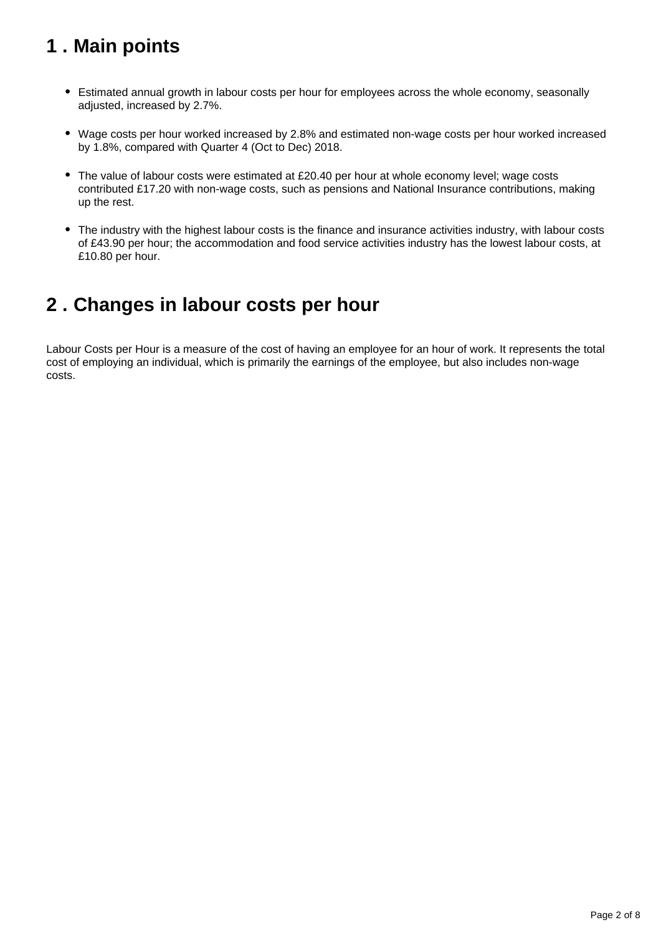# <span id="page-1-0"></span>**1 . Main points**

- Estimated annual growth in labour costs per hour for employees across the whole economy, seasonally adjusted, increased by 2.7%.
- Wage costs per hour worked increased by 2.8% and estimated non-wage costs per hour worked increased by 1.8%, compared with Quarter 4 (Oct to Dec) 2018.
- The value of labour costs were estimated at £20.40 per hour at whole economy level; wage costs contributed £17.20 with non-wage costs, such as pensions and National Insurance contributions, making up the rest.
- The industry with the highest labour costs is the finance and insurance activities industry, with labour costs of £43.90 per hour; the accommodation and food service activities industry has the lowest labour costs, at £10.80 per hour.

## <span id="page-1-1"></span>**2 . Changes in labour costs per hour**

Labour Costs per Hour is a measure of the cost of having an employee for an hour of work. It represents the total cost of employing an individual, which is primarily the earnings of the employee, but also includes non-wage costs.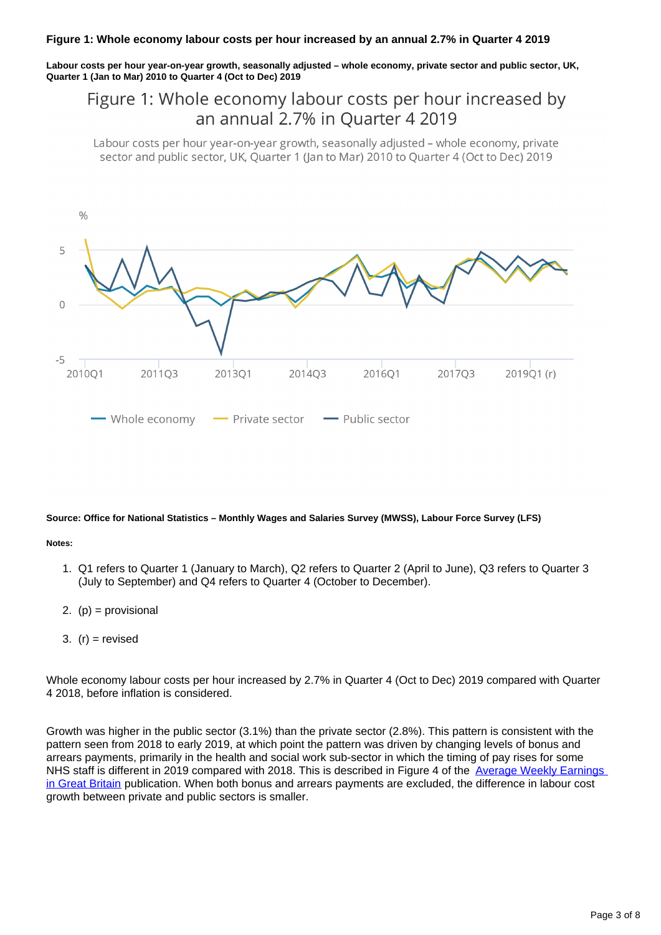**Labour costs per hour year-on-year growth, seasonally adjusted – whole economy, private sector and public sector, UK, Quarter 1 (Jan to Mar) 2010 to Quarter 4 (Oct to Dec) 2019**

## Figure 1: Whole economy labour costs per hour increased by an annual 2.7% in Ouarter 4 2019

Labour costs per hour year-on-year growth, seasonally adjusted - whole economy, private sector and public sector, UK, Ouarter 1 (Jan to Mar) 2010 to Ouarter 4 (Oct to Dec) 2019



#### **Source: Office for National Statistics – Monthly Wages and Salaries Survey (MWSS), Labour Force Survey (LFS)**

#### **Notes:**

- 1. Q1 refers to Quarter 1 (January to March), Q2 refers to Quarter 2 (April to June), Q3 refers to Quarter 3 (July to September) and Q4 refers to Quarter 4 (October to December).
- 2. (p) = provisional
- 3. (r) = revised

Whole economy labour costs per hour increased by 2.7% in Quarter 4 (Oct to Dec) 2019 compared with Quarter 4 2018, before inflation is considered.

Growth was higher in the public sector (3.1%) than the private sector (2.8%). This pattern is consistent with the pattern seen from 2018 to early 2019, at which point the pattern was driven by changing levels of bonus and arrears payments, primarily in the health and social work sub-sector in which the timing of pay rises for some NHS staff is different in 2019 compared with 2018. This is described in Figure 4 of the Average Weekly Earnings [in Great Britain](https://www.ons.gov.uk/employmentandlabourmarket/peopleinwork/employmentandemployeetypes/bulletins/averageweeklyearningsingreatbritain/november2019) publication. When both bonus and arrears payments are excluded, the difference in labour cost growth between private and public sectors is smaller.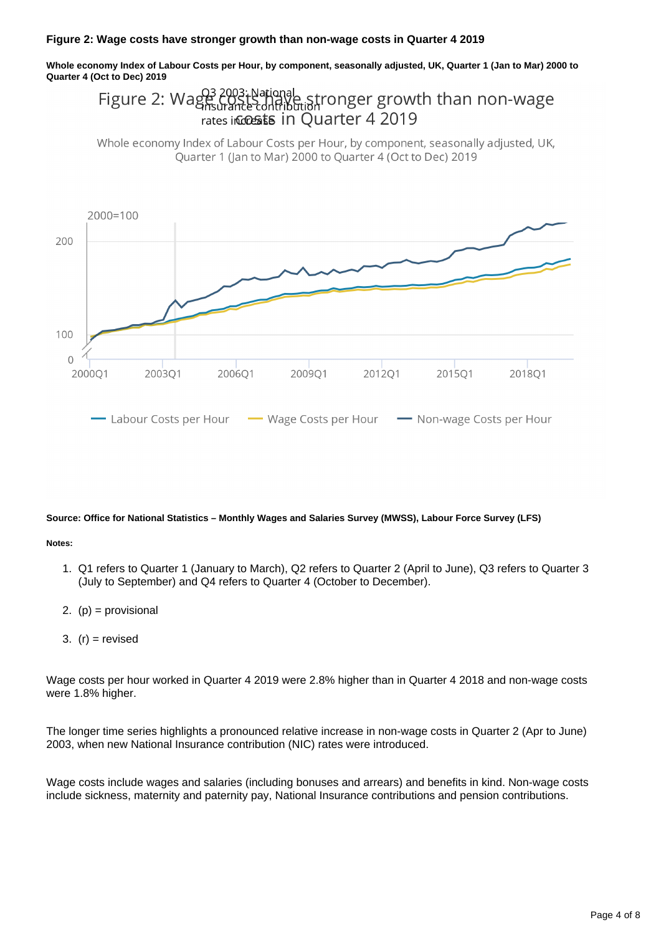**Whole economy Index of Labour Costs per Hour, by component, seasonally adjusted, UK, Quarter 1 (Jan to Mar) 2000 to Quarter 4 (Oct to Dec) 2019**

#### Figure 2:  $Wages$ 2003; National<br>COSTS rigile stronger growth than non-wage rates incossts in Ouarter 4 2019

Whole economy Index of Labour Costs per Hour, by component, seasonally adjusted, UK, Ouarter 1 (Jan to Mar) 2000 to Ouarter 4 (Oct to Dec) 2019



#### **Source: Office for National Statistics – Monthly Wages and Salaries Survey (MWSS), Labour Force Survey (LFS)**

#### **Notes:**

- 1. Q1 refers to Quarter 1 (January to March), Q2 refers to Quarter 2 (April to June), Q3 refers to Quarter 3 (July to September) and Q4 refers to Quarter 4 (October to December).
- 2. (p) = provisional
- 3. (r) = revised

Wage costs per hour worked in Quarter 4 2019 were 2.8% higher than in Quarter 4 2018 and non-wage costs were 1.8% higher.

The longer time series highlights a pronounced relative increase in non-wage costs in Quarter 2 (Apr to June) 2003, when new National Insurance contribution (NIC) rates were introduced.

Wage costs include wages and salaries (including bonuses and arrears) and benefits in kind. Non-wage costs include sickness, maternity and paternity pay, National Insurance contributions and pension contributions.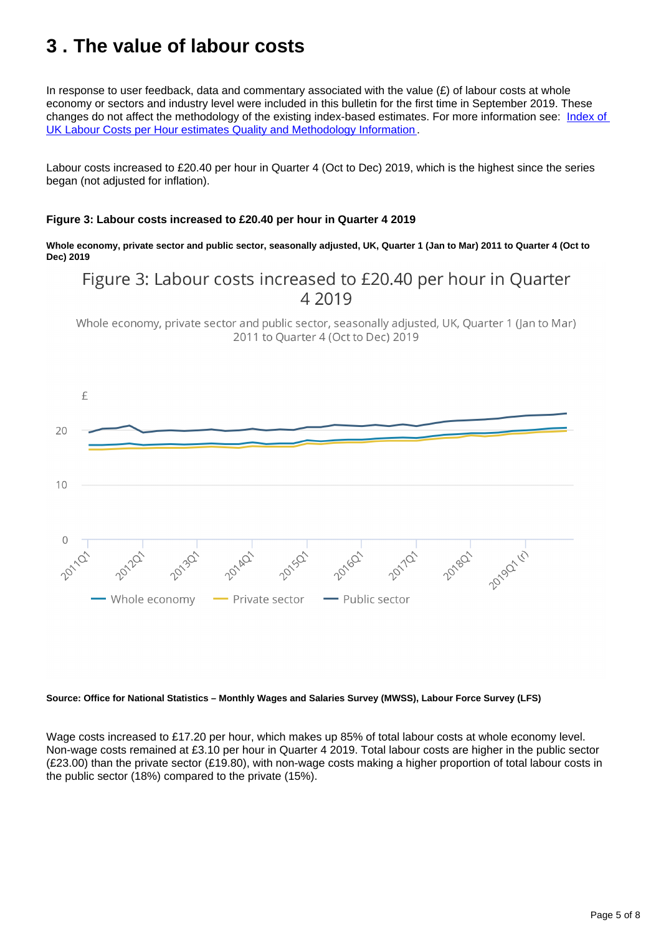# <span id="page-4-0"></span>**3 . The value of labour costs**

In response to user feedback, data and commentary associated with the value  $(E)$  of labour costs at whole economy or sectors and industry level were included in this bulletin for the first time in September 2019. These changes do not affect the methodology of the existing index-based estimates. For more information see: [Index of](https://www.ons.gov.uk/employmentandlabourmarket/peopleinwork/earningsandworkinghours/qmis/indexoflabourcostsperhourqmi)  [UK Labour Costs per Hour estimates Quality and Methodology Information](https://www.ons.gov.uk/employmentandlabourmarket/peopleinwork/earningsandworkinghours/qmis/indexoflabourcostsperhourqmi) .

Labour costs increased to £20.40 per hour in Quarter 4 (Oct to Dec) 2019, which is the highest since the series began (not adjusted for inflation).

#### **Figure 3: Labour costs increased to £20.40 per hour in Quarter 4 2019**

**Whole economy, private sector and public sector, seasonally adjusted, UK, Quarter 1 (Jan to Mar) 2011 to Quarter 4 (Oct to Dec) 2019**

## Figure 3: Labour costs increased to £20.40 per hour in Quarter 4 2019

Whole economy, private sector and public sector, seasonally adjusted, UK, Quarter 1 (Jan to Mar) 2011 to Ouarter 4 (Oct to Dec) 2019



#### **Source: Office for National Statistics – Monthly Wages and Salaries Survey (MWSS), Labour Force Survey (LFS)**

Wage costs increased to £17.20 per hour, which makes up 85% of total labour costs at whole economy level. Non-wage costs remained at £3.10 per hour in Quarter 4 2019. Total labour costs are higher in the public sector (£23.00) than the private sector (£19.80), with non-wage costs making a higher proportion of total labour costs in the public sector (18%) compared to the private (15%).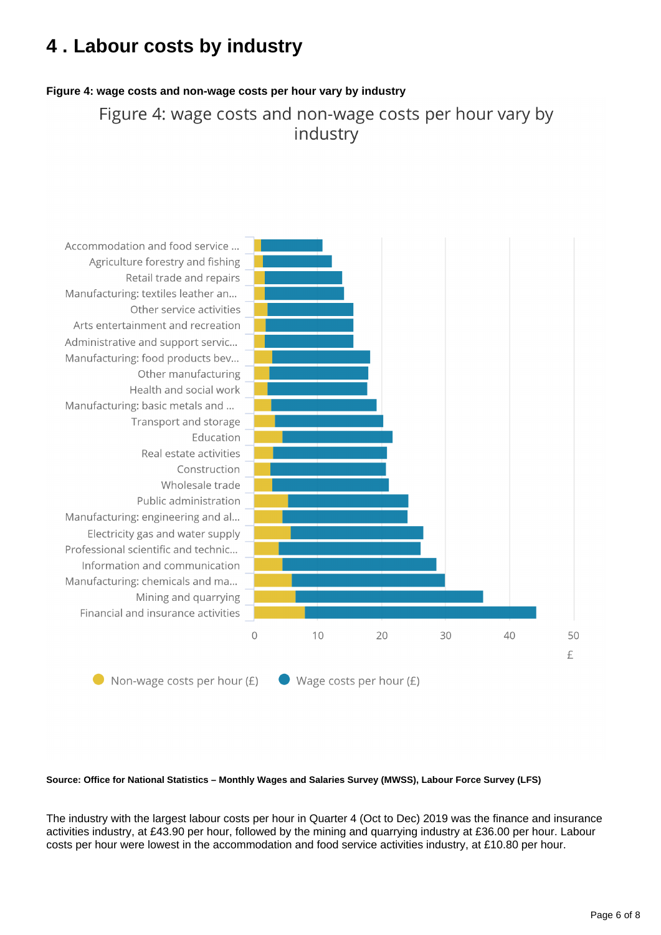# <span id="page-5-0"></span>**4 . Labour costs by industry**

### **Figure 4: wage costs and non-wage costs per hour vary by industry**

Figure 4: wage costs and non-wage costs per hour vary by industry



#### **Source: Office for National Statistics – Monthly Wages and Salaries Survey (MWSS), Labour Force Survey (LFS)**

The industry with the largest labour costs per hour in Quarter 4 (Oct to Dec) 2019 was the finance and insurance activities industry, at £43.90 per hour, followed by the mining and quarrying industry at £36.00 per hour. Labour costs per hour were lowest in the accommodation and food service activities industry, at £10.80 per hour.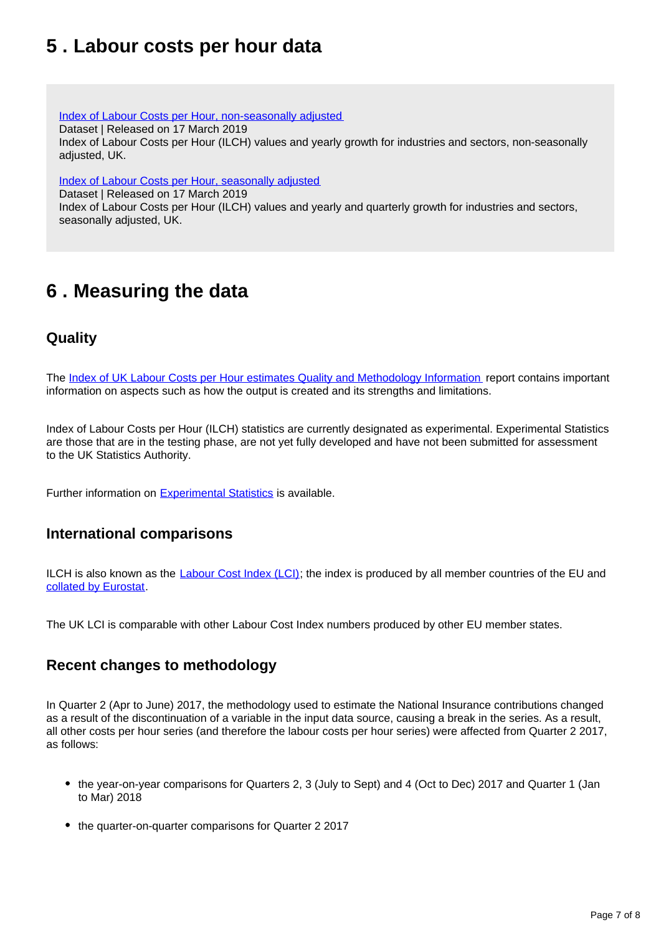## <span id="page-6-0"></span>**5 . Labour costs per hour data**

[Index of Labour Costs per Hour, non-seasonally adjusted](https://www.ons.gov.uk/employmentandlabourmarket/peopleinwork/earningsandworkinghours/datasets/indexoflabourcostsperhourilchnonseasonallyadjusted)

Dataset | Released on 17 March 2019

Index of Labour Costs per Hour (ILCH) values and yearly growth for industries and sectors, non-seasonally adjusted, UK.

[Index of Labour Costs per Hour, seasonally adjusted](https://www.ons.gov.uk/employmentandlabourmarket/peopleinwork/earningsandworkinghours/datasets/indexoflabourcostsperhourilchseasonallyadjusted)

Dataset | Released on 17 March 2019

Index of Labour Costs per Hour (ILCH) values and yearly and quarterly growth for industries and sectors, seasonally adjusted, UK.

# <span id="page-6-1"></span>**6 . Measuring the data**

## **Quality**

The [Index of UK Labour Costs per Hour estimates Quality and Methodology Information](https://www.ons.gov.uk/employmentandlabourmarket/peopleinwork/earningsandworkinghours/qmis/indexoflabourcostsperhourqmi) report contains important information on aspects such as how the output is created and its strengths and limitations.

Index of Labour Costs per Hour (ILCH) statistics are currently designated as experimental. Experimental Statistics are those that are in the testing phase, are not yet fully developed and have not been submitted for assessment to the UK Statistics Authority.

Further information on [Experimental Statistics](http://www.ons.gov.uk/methodology/methodologytopicsandstatisticalconcepts/guidetoexperimentalstatistics) is available.

## **International comparisons**

ILCH is also known as the [Labour Cost Index \(LCI\)](http://epp.eurostat.ec.europa.eu/statistics_explained/index.php/Labour_cost_index_-_recent_trends%23Hourly_labour_cost_in_euros); the index is produced by all member countries of the EU and [collated by Eurostat.](https://ec.europa.eu/eurostat/statistics-explained/index.php/Hourly_labour_costs)

The UK LCI is comparable with other Labour Cost Index numbers produced by other EU member states.

## **Recent changes to methodology**

In Quarter 2 (Apr to June) 2017, the methodology used to estimate the National Insurance contributions changed as a result of the discontinuation of a variable in the input data source, causing a break in the series. As a result, all other costs per hour series (and therefore the labour costs per hour series) were affected from Quarter 2 2017, as follows:

- the year-on-year comparisons for Quarters 2, 3 (July to Sept) and 4 (Oct to Dec) 2017 and Quarter 1 (Jan to Mar) 2018
- the quarter-on-quarter comparisons for Quarter 2 2017